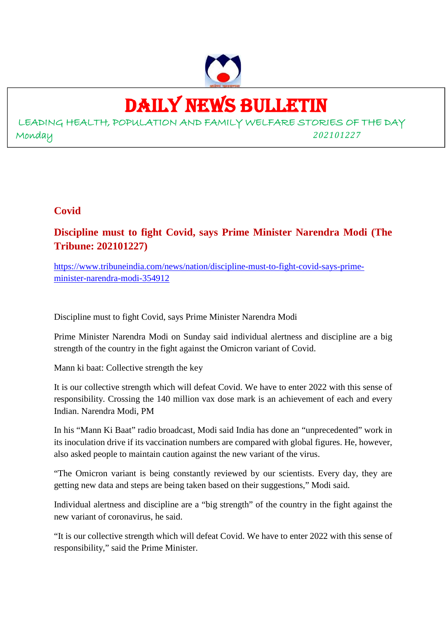

# DAILY NEWS BULLETIN

LEADING HEALTH, POPULATION AND FAMILY WELFARE STORIES OF THE DAY Monday *202101227*

# **Covid**

**Discipline must to fight Covid, says Prime Minister Narendra Modi (The Tribune: 202101227)**

https://www.tribuneindia.com/news/nation/discipline-must-to-fight-covid-says-primeminister-narendra-modi-354912

Discipline must to fight Covid, says Prime Minister Narendra Modi

Prime Minister Narendra Modi on Sunday said individual alertness and discipline are a big strength of the country in the fight against the Omicron variant of Covid.

Mann ki baat: Collective strength the key

It is our collective strength which will defeat Covid. We have to enter 2022 with this sense of responsibility. Crossing the 140 million vax dose mark is an achievement of each and every Indian. Narendra Modi, PM

In his "Mann Ki Baat" radio broadcast, Modi said India has done an "unprecedented" work in its inoculation drive if its vaccination numbers are compared with global figures. He, however, also asked people to maintain caution against the new variant of the virus.

"The Omicron variant is being constantly reviewed by our scientists. Every day, they are getting new data and steps are being taken based on their suggestions," Modi said.

Individual alertness and discipline are a "big strength" of the country in the fight against the new variant of coronavirus, he said.

"It is our collective strength which will defeat Covid. We have to enter 2022 with this sense of responsibility," said the Prime Minister.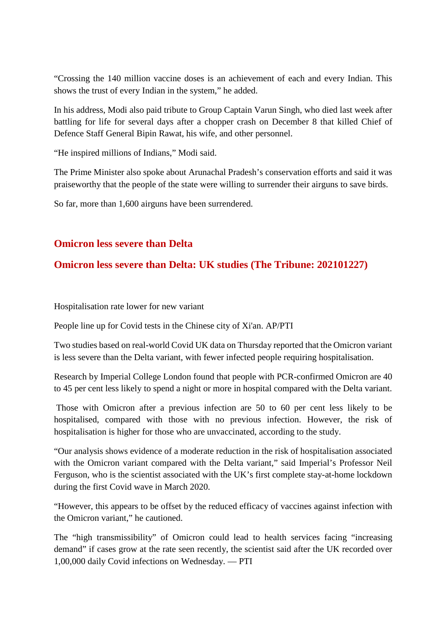"Crossing the 140 million vaccine doses is an achievement of each and every Indian. This shows the trust of every Indian in the system," he added.

In his address, Modi also paid tribute to Group Captain Varun Singh, who died last week after battling for life for several days after a chopper crash on December 8 that killed Chief of Defence Staff General Bipin Rawat, his wife, and other personnel.

"He inspired millions of Indians," Modi said.

The Prime Minister also spoke about Arunachal Pradesh's conservation efforts and said it was praiseworthy that the people of the state were willing to surrender their airguns to save birds.

So far, more than 1,600 airguns have been surrendered.

#### **Omicron less severe than Delta**

## **Omicron less severe than Delta: UK studies (The Tribune: 202101227)**

Hospitalisation rate lower for new variant

People line up for Covid tests in the Chinese city of Xi'an. AP/PTI

Two studies based on real-world Covid UK data on Thursday reported that the Omicron variant is less severe than the Delta variant, with fewer infected people requiring hospitalisation.

Research by Imperial College London found that people with PCR-confirmed Omicron are 40 to 45 per cent less likely to spend a night or more in hospital compared with the Delta variant.

Those with Omicron after a previous infection are 50 to 60 per cent less likely to be hospitalised, compared with those with no previous infection. However, the risk of hospitalisation is higher for those who are unvaccinated, according to the study.

"Our analysis shows evidence of a moderate reduction in the risk of hospitalisation associated with the Omicron variant compared with the Delta variant," said Imperial's Professor Neil Ferguson, who is the scientist associated with the UK's first complete stay-at-home lockdown during the first Covid wave in March 2020.

"However, this appears to be offset by the reduced efficacy of vaccines against infection with the Omicron variant," he cautioned.

The "high transmissibility" of Omicron could lead to health services facing "increasing demand" if cases grow at the rate seen recently, the scientist said after the UK recorded over 1,00,000 daily Covid infections on Wednesday. — PTI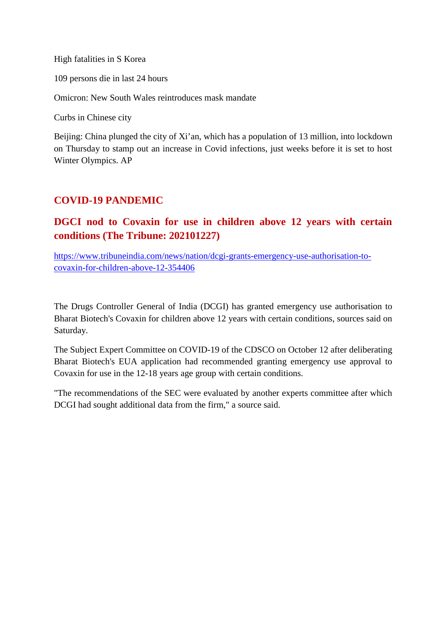High fatalities in S Korea

109 persons die in last 24 hours

Omicron: New South Wales reintroduces mask mandate

Curbs in Chinese city

Beijing: China plunged the city of Xi'an, which has a population of 13 million, into lockdown on Thursday to stamp out an increase in Covid infections, just weeks before it is set to host Winter Olympics. AP

# **COVID-19 PANDEMIC**

# **DGCI nod to Covaxin for use in children above 12 years with certain conditions (The Tribune: 202101227)**

https://www.tribuneindia.com/news/nation/dcgi-grants-emergency-use-authorisation-tocovaxin-for-children-above-12-354406

The Drugs Controller General of India (DCGI) has granted emergency use authorisation to Bharat Biotech's Covaxin for children above 12 years with certain conditions, sources said on Saturday.

The Subject Expert Committee on COVID-19 of the CDSCO on October 12 after deliberating Bharat Biotech's EUA application had recommended granting emergency use approval to Covaxin for use in the 12-18 years age group with certain conditions.

"The recommendations of the SEC were evaluated by another experts committee after which DCGI had sought additional data from the firm," a source said.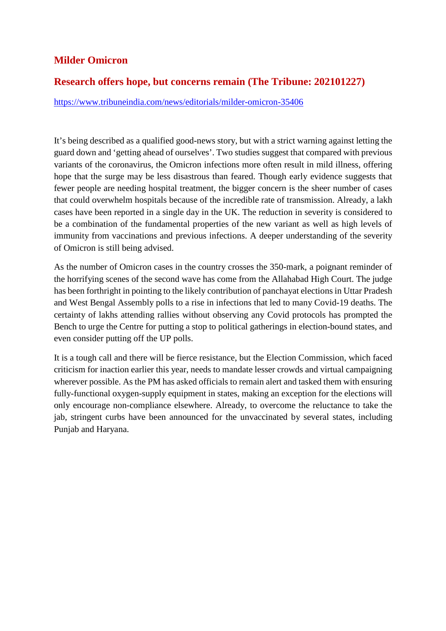# **Milder Omicron**

## **Research offers hope, but concerns remain (The Tribune: 202101227)**

https://www.tribuneindia.com/news/editorials/milder-omicron-35406

It's being described as a qualified good-news story, but with a strict warning against letting the guard down and 'getting ahead of ourselves'. Two studies suggest that compared with previous variants of the coronavirus, the Omicron infections more often result in mild illness, offering hope that the surge may be less disastrous than feared. Though early evidence suggests that fewer people are needing hospital treatment, the bigger concern is the sheer number of cases that could overwhelm hospitals because of the incredible rate of transmission. Already, a lakh cases have been reported in a single day in the UK. The reduction in severity is considered to be a combination of the fundamental properties of the new variant as well as high levels of immunity from vaccinations and previous infections. A deeper understanding of the severity of Omicron is still being advised.

As the number of Omicron cases in the country crosses the 350-mark, a poignant reminder of the horrifying scenes of the second wave has come from the Allahabad High Court. The judge has been forthright in pointing to the likely contribution of panchayat elections in Uttar Pradesh and West Bengal Assembly polls to a rise in infections that led to many Covid-19 deaths. The certainty of lakhs attending rallies without observing any Covid protocols has prompted the Bench to urge the Centre for putting a stop to political gatherings in election-bound states, and even consider putting off the UP polls.

It is a tough call and there will be fierce resistance, but the Election Commission, which faced criticism for inaction earlier this year, needs to mandate lesser crowds and virtual campaigning wherever possible. As the PM has asked officials to remain alert and tasked them with ensuring fully-functional oxygen-supply equipment in states, making an exception for the elections will only encourage non-compliance elsewhere. Already, to overcome the reluctance to take the jab, stringent curbs have been announced for the unvaccinated by several states, including Punjab and Haryana.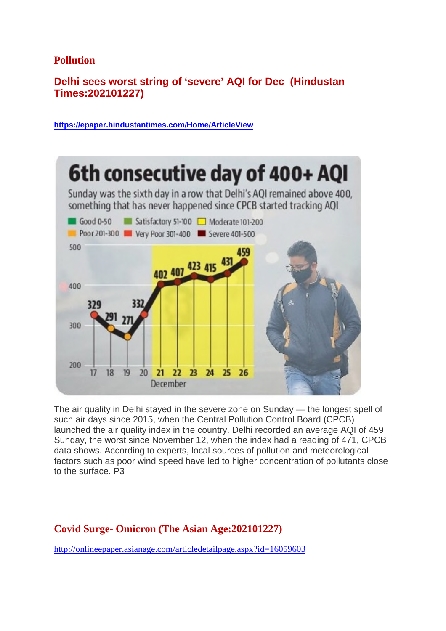#### **Pollution**

# **Delhi sees worst string of 'severe' AQI for Dec (Hindustan Times:202101227)**

**https://epaper.hindustantimes.com/Home/ArticleView**



The air quality in Delhi stayed in the severe zone on Sunday — the longest spell of such air days since 2015, when the Central Pollution Control Board (CPCB) launched the air quality index in the country. Delhi recorded an average AQI of 459 Sunday, the worst since November 12, when the index had a reading of 471, CPCB data shows. According to experts, local sources of pollution and meteorological factors such as poor wind speed have led to higher concentration of pollutants close to the surface. P3

# **Covid Surge- Omicron (The Asian Age:202101227)**

http://onlineepaper.asianage.com/articledetailpage.aspx?id=16059603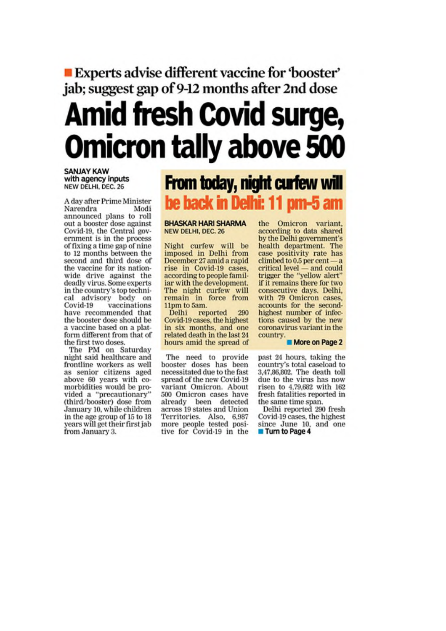# **Experts advise different vaccine for 'booster'** jab; suggest gap of 9-12 months after 2nd dose **Amid fresh Covid surge, Omicron tally above 500**

**SANJAY KAW** with agency inputs NEW DELHI, DEC. 26

A day after Prime Minister Narendra Modi announced plans to roll out a booster dose against Covid-19, the Central government is in the process of fixing a time gap of nine to 12 months between the second and third dose of the vaccine for its nationwide drive against the deadly virus. Some experts in the country's top technical advisory body on<br>Covid-19 vaccinations have recommended that the booster dose should be a vaccine based on a platform different from that of the first two doses.

The PM on Saturday night said healthcare and frontline workers as well as senior citizens aged above 60 years with comorbidities would be provided a "precautionary"<br>(third/booster) dose from January 10, while children in the age group of 15 to 18 years will get their first jab from January 3.

# From today, night curfew will be back in Delhi: 11 pm-5 am

**BHASKAR HARI SHARMA** NEW DELHI, DEC. 26

Night curfew will be imposed in Delhi from December 27 amid a rapid rise in Covid-19 cases. according to people familiar with the development. The night curfew will<br>remain in force from<br>11pm to 5am.

Delhi reported 290 Covid-19 cases, the highest in six months, and one related death in the last 24 hours amid the spread of

The need to provide booster doses has been necessitated due to the fast spread of the new Covid-19 variant Omicron. About 500 Omicron cases have already been detected across 19 states and Union Territories. Also, 6,987<br>more people tested positive for Covid-19 in the

the Omicron variant, according to data shared by the Delhi government's health department. The case positivity rate has  $climbed$  to 0.5 per cent - a critical level - and could trigger the "vellow alert" if it remains there for two consecutive days. Delhi, with 79 Omicron cases, accounts for the secondhighest number of infections caused by the new coronavirus variant in the country.

More on Page 2

past 24 hours, taking the country's total caseload to 3,47,86,802. The death toll due to the virus has now risen to 4,79,682 with 162 fresh fatalities reported in the same time span.

Delhi reported 290 fresh Covid-19 cases, the highest since June 10, and one Turn to Page 4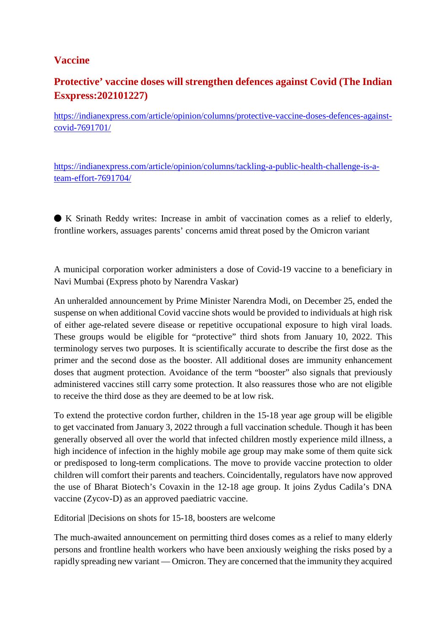# **Vaccine**

# **Protective' vaccine doses will strengthen defences against Covid (The Indian Esxpress:202101227)**

https://indianexpress.com/article/opinion/columns/protective-vaccine-doses-defences-againstcovid-7691701/

https://indianexpress.com/article/opinion/columns/tackling-a-public-health-challenge-is-ateam-effort-7691704/

⬤ K Srinath Reddy writes: Increase in ambit of vaccination comes as a relief to elderly, frontline workers, assuages parents' concerns amid threat posed by the Omicron variant

A municipal corporation worker administers a dose of Covid-19 vaccine to a beneficiary in Navi Mumbai (Express photo by Narendra Vaskar)

An unheralded announcement by Prime Minister Narendra Modi, on December 25, ended the suspense on when additional Covid vaccine shots would be provided to individuals at high risk of either age-related severe disease or repetitive occupational exposure to high viral loads. These groups would be eligible for "protective" third shots from January 10, 2022. This terminology serves two purposes. It is scientifically accurate to describe the first dose as the primer and the second dose as the booster. All additional doses are immunity enhancement doses that augment protection. Avoidance of the term "booster" also signals that previously administered vaccines still carry some protection. It also reassures those who are not eligible to receive the third dose as they are deemed to be at low risk.

To extend the protective cordon further, children in the 15-18 year age group will be eligible to get vaccinated from January 3, 2022 through a full vaccination schedule. Though it has been generally observed all over the world that infected children mostly experience mild illness, a high incidence of infection in the highly mobile age group may make some of them quite sick or predisposed to long-term complications. The move to provide vaccine protection to older children will comfort their parents and teachers. Coincidentally, regulators have now approved the use of Bharat Biotech's Covaxin in the 12-18 age group. It joins Zydus Cadila's DNA vaccine (Zycov-D) as an approved paediatric vaccine.

Editorial Decisions on shots for 15-18, boosters are welcome

The much-awaited announcement on permitting third doses comes as a relief to many elderly persons and frontline health workers who have been anxiously weighing the risks posed by a rapidly spreading new variant — Omicron. They are concerned that the immunity they acquired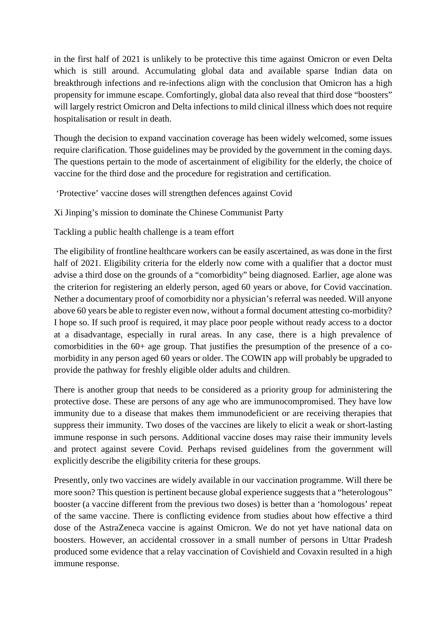in the first half of 2021 is unlikely to be protective this time against Omicron or even Delta which is still around. Accumulating global data and available sparse Indian data on breakthrough infections and re-infections align with the conclusion that Omicron has a high propensity for immune escape. Comfortingly, global data also reveal that third dose "boosters" will largely restrict Omicron and Delta infections to mild clinical illness which does not require hospitalisation or result in death.

Though the decision to expand vaccination coverage has been widely welcomed, some issues require clarification. Those guidelines may be provided by the government in the coming days. The questions pertain to the mode of ascertainment of eligibility for the elderly, the choice of vaccine for the third dose and the procedure for registration and certification.

'Protective' vaccine doses will strengthen defences against Covid

Xi Jinping's mission to dominate the Chinese Communist Party

Tackling a public health challenge is a team effort

The eligibility of frontline healthcare workers can be easily ascertained, as was done in the first half of 2021. Eligibility criteria for the elderly now come with a qualifier that a doctor must advise a third dose on the grounds of a "comorbidity" being diagnosed. Earlier, age alone was the criterion for registering an elderly person, aged 60 years or above, for Covid vaccination. Nether a documentary proof of comorbidity nor a physician's referral was needed. Will anyone above 60 years be able to register even now, without a formal document attesting co-morbidity? I hope so. If such proof is required, it may place poor people without ready access to a doctor at a disadvantage, especially in rural areas. In any case, there is a high prevalence of comorbidities in the 60+ age group. That justifies the presumption of the presence of a comorbidity in any person aged 60 years or older. The COWIN app will probably be upgraded to provide the pathway for freshly eligible older adults and children.

There is another group that needs to be considered as a priority group for administering the protective dose. These are persons of any age who are immunocompromised. They have low immunity due to a disease that makes them immunodeficient or are receiving therapies that suppress their immunity. Two doses of the vaccines are likely to elicit a weak or short-lasting immune response in such persons. Additional vaccine doses may raise their immunity levels and protect against severe Covid. Perhaps revised guidelines from the government will explicitly describe the eligibility criteria for these groups.

Presently, only two vaccines are widely available in our vaccination programme. Will there be more soon? This question is pertinent because global experience suggests that a "heterologous" booster (a vaccine different from the previous two doses) is better than a 'homologous' repeat of the same vaccine. There is conflicting evidence from studies about how effective a third dose of the AstraZeneca vaccine is against Omicron. We do not yet have national data on boosters. However, an accidental crossover in a small number of persons in Uttar Pradesh produced some evidence that a relay vaccination of Covishield and Covaxin resulted in a high immune response.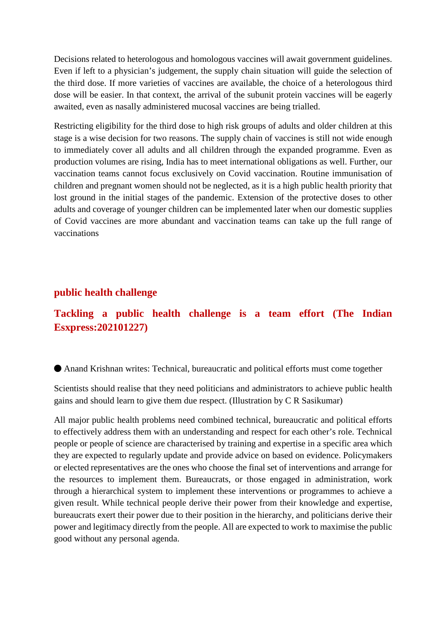Decisions related to heterologous and homologous vaccines will await government guidelines. Even if left to a physician's judgement, the supply chain situation will guide the selection of the third dose. If more varieties of vaccines are available, the choice of a heterologous third dose will be easier. In that context, the arrival of the subunit protein vaccines will be eagerly awaited, even as nasally administered mucosal vaccines are being trialled.

Restricting eligibility for the third dose to high risk groups of adults and older children at this stage is a wise decision for two reasons. The supply chain of vaccines is still not wide enough to immediately cover all adults and all children through the expanded programme. Even as production volumes are rising, India has to meet international obligations as well. Further, our vaccination teams cannot focus exclusively on Covid vaccination. Routine immunisation of children and pregnant women should not be neglected, as it is a high public health priority that lost ground in the initial stages of the pandemic. Extension of the protective doses to other adults and coverage of younger children can be implemented later when our domestic supplies of Covid vaccines are more abundant and vaccination teams can take up the full range of vaccinations

#### **public health challenge**

# **Tackling a public health challenge is a team effort (The Indian Esxpress:202101227)**

⬤ Anand Krishnan writes: Technical, bureaucratic and political efforts must come together

Scientists should realise that they need politicians and administrators to achieve public health gains and should learn to give them due respect. (Illustration by C R Sasikumar)

All major public health problems need combined technical, bureaucratic and political efforts to effectively address them with an understanding and respect for each other's role. Technical people or people of science are characterised by training and expertise in a specific area which they are expected to regularly update and provide advice on based on evidence. Policymakers or elected representatives are the ones who choose the final set of interventions and arrange for the resources to implement them. Bureaucrats, or those engaged in administration, work through a hierarchical system to implement these interventions or programmes to achieve a given result. While technical people derive their power from their knowledge and expertise, bureaucrats exert their power due to their position in the hierarchy, and politicians derive their power and legitimacy directly from the people. All are expected to work to maximise the public good without any personal agenda.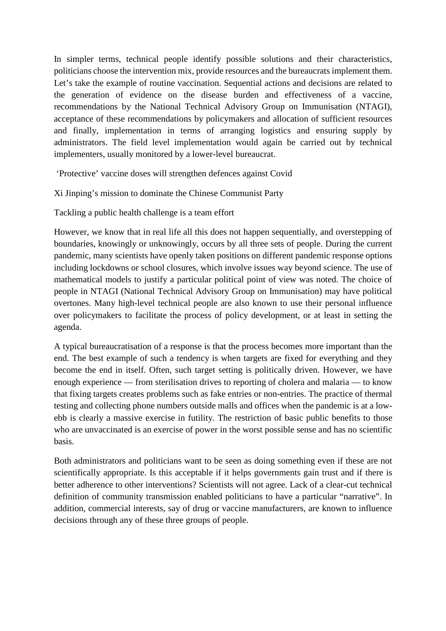In simpler terms, technical people identify possible solutions and their characteristics, politicians choose the intervention mix, provide resources and the bureaucrats implement them. Let's take the example of routine vaccination. Sequential actions and decisions are related to the generation of evidence on the disease burden and effectiveness of a vaccine, recommendations by the National Technical Advisory Group on Immunisation (NTAGI), acceptance of these recommendations by policymakers and allocation of sufficient resources and finally, implementation in terms of arranging logistics and ensuring supply by administrators. The field level implementation would again be carried out by technical implementers, usually monitored by a lower-level bureaucrat.

'Protective' vaccine doses will strengthen defences against Covid

Xi Jinping's mission to dominate the Chinese Communist Party

Tackling a public health challenge is a team effort

However, we know that in real life all this does not happen sequentially, and overstepping of boundaries, knowingly or unknowingly, occurs by all three sets of people. During the current pandemic, many scientists have openly taken positions on different pandemic response options including lockdowns or school closures, which involve issues way beyond science. The use of mathematical models to justify a particular political point of view was noted. The choice of people in NTAGI (National Technical Advisory Group on Immunisation) may have political overtones. Many high-level technical people are also known to use their personal influence over policymakers to facilitate the process of policy development, or at least in setting the agenda.

A typical bureaucratisation of a response is that the process becomes more important than the end. The best example of such a tendency is when targets are fixed for everything and they become the end in itself. Often, such target setting is politically driven. However, we have enough experience — from sterilisation drives to reporting of cholera and malaria — to know that fixing targets creates problems such as fake entries or non-entries. The practice of thermal testing and collecting phone numbers outside malls and offices when the pandemic is at a lowebb is clearly a massive exercise in futility. The restriction of basic public benefits to those who are unvaccinated is an exercise of power in the worst possible sense and has no scientific basis.

Both administrators and politicians want to be seen as doing something even if these are not scientifically appropriate. Is this acceptable if it helps governments gain trust and if there is better adherence to other interventions? Scientists will not agree. Lack of a clear-cut technical definition of community transmission enabled politicians to have a particular "narrative". In addition, commercial interests, say of drug or vaccine manufacturers, are known to influence decisions through any of these three groups of people.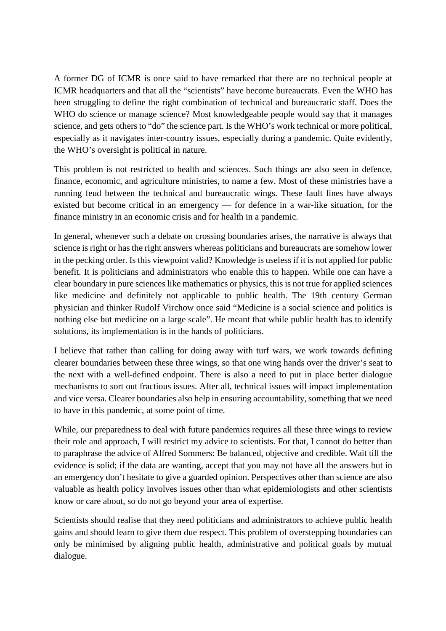A former DG of ICMR is once said to have remarked that there are no technical people at ICMR headquarters and that all the "scientists" have become bureaucrats. Even the WHO has been struggling to define the right combination of technical and bureaucratic staff. Does the WHO do science or manage science? Most knowledgeable people would say that it manages science, and gets others to "do" the science part. Is the WHO's work technical or more political, especially as it navigates inter-country issues, especially during a pandemic. Quite evidently, the WHO's oversight is political in nature.

This problem is not restricted to health and sciences. Such things are also seen in defence, finance, economic, and agriculture ministries, to name a few. Most of these ministries have a running feud between the technical and bureaucratic wings. These fault lines have always existed but become critical in an emergency — for defence in a war-like situation, for the finance ministry in an economic crisis and for health in a pandemic.

In general, whenever such a debate on crossing boundaries arises, the narrative is always that science is right or has the right answers whereas politicians and bureaucrats are somehow lower in the pecking order. Is this viewpoint valid? Knowledge is useless if it is not applied for public benefit. It is politicians and administrators who enable this to happen. While one can have a clear boundary in pure sciences like mathematics or physics, this is not true for applied sciences like medicine and definitely not applicable to public health. The 19th century German physician and thinker Rudolf Virchow once said "Medicine is a social science and politics is nothing else but medicine on a large scale". He meant that while public health has to identify solutions, its implementation is in the hands of politicians.

I believe that rather than calling for doing away with turf wars, we work towards defining clearer boundaries between these three wings, so that one wing hands over the driver's seat to the next with a well-defined endpoint. There is also a need to put in place better dialogue mechanisms to sort out fractious issues. After all, technical issues will impact implementation and vice versa. Clearer boundaries also help in ensuring accountability, something that we need to have in this pandemic, at some point of time.

While, our preparedness to deal with future pandemics requires all these three wings to review their role and approach, I will restrict my advice to scientists. For that, I cannot do better than to paraphrase the advice of Alfred Sommers: Be balanced, objective and credible. Wait till the evidence is solid; if the data are wanting, accept that you may not have all the answers but in an emergency don't hesitate to give a guarded opinion. Perspectives other than science are also valuable as health policy involves issues other than what epidemiologists and other scientists know or care about, so do not go beyond your area of expertise.

Scientists should realise that they need politicians and administrators to achieve public health gains and should learn to give them due respect. This problem of overstepping boundaries can only be minimised by aligning public health, administrative and political goals by mutual dialogue.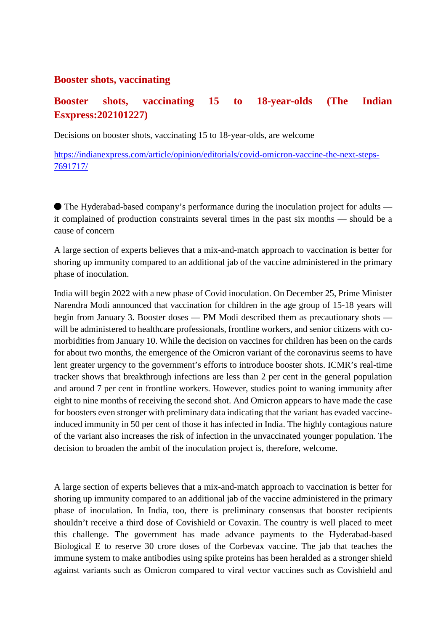#### **Booster shots, vaccinating**

# **Booster shots, vaccinating 15 to 18-year-olds (The Indian Esxpress:202101227)**

Decisions on booster shots, vaccinating 15 to 18-year-olds, are welcome

https://indianexpress.com/article/opinion/editorials/covid-omicron-vaccine-the-next-steps-7691717/

● The Hyderabad-based company's performance during the inoculation project for adults it complained of production constraints several times in the past six months — should be a cause of concern

A large section of experts believes that a mix-and-match approach to vaccination is better for shoring up immunity compared to an additional jab of the vaccine administered in the primary phase of inoculation.

India will begin 2022 with a new phase of Covid inoculation. On December 25, Prime Minister Narendra Modi announced that vaccination for children in the age group of 15-18 years will begin from January 3. Booster doses — PM Modi described them as precautionary shots will be administered to healthcare professionals, frontline workers, and senior citizens with comorbidities from January 10. While the decision on vaccines for children has been on the cards for about two months, the emergence of the Omicron variant of the coronavirus seems to have lent greater urgency to the government's efforts to introduce booster shots. ICMR's real-time tracker shows that breakthrough infections are less than 2 per cent in the general population and around 7 per cent in frontline workers. However, studies point to waning immunity after eight to nine months of receiving the second shot. And Omicron appears to have made the case for boosters even stronger with preliminary data indicating that the variant has evaded vaccineinduced immunity in 50 per cent of those it has infected in India. The highly contagious nature of the variant also increases the risk of infection in the unvaccinated younger population. The decision to broaden the ambit of the inoculation project is, therefore, welcome.

A large section of experts believes that a mix-and-match approach to vaccination is better for shoring up immunity compared to an additional jab of the vaccine administered in the primary phase of inoculation. In India, too, there is preliminary consensus that booster recipients shouldn't receive a third dose of Covishield or Covaxin. The country is well placed to meet this challenge. The government has made advance payments to the Hyderabad-based Biological E to reserve 30 crore doses of the Corbevax vaccine. The jab that teaches the immune system to make antibodies using spike proteins has been heralded as a stronger shield against variants such as Omicron compared to viral vector vaccines such as Covishield and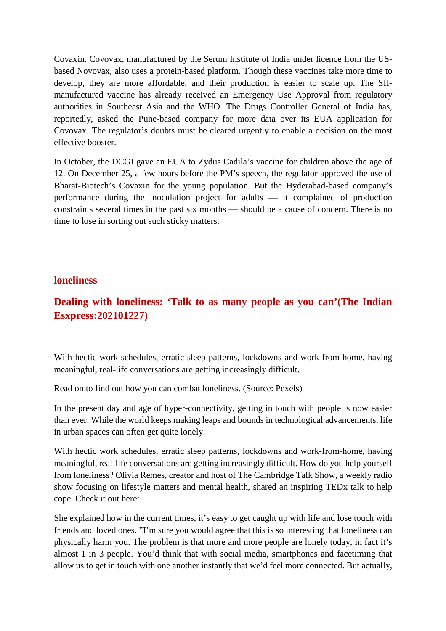Covaxin. Covovax, manufactured by the Serum Institute of India under licence from the USbased Novovax, also uses a protein-based platform. Though these vaccines take more time to develop, they are more affordable, and their production is easier to scale up. The SIImanufactured vaccine has already received an Emergency Use Approval from regulatory authorities in Southeast Asia and the WHO. The Drugs Controller General of India has, reportedly, asked the Pune-based company for more data over its EUA application for Covovax. The regulator's doubts must be cleared urgently to enable a decision on the most effective booster.

In October, the DCGI gave an EUA to Zydus Cadila's vaccine for children above the age of 12. On December 25, a few hours before the PM's speech, the regulator approved the use of Bharat-Biotech's Covaxin for the young population. But the Hyderabad-based company's performance during the inoculation project for adults — it complained of production constraints several times in the past six months — should be a cause of concern. There is no time to lose in sorting out such sticky matters.

#### **loneliness**

# **Dealing with loneliness: 'Talk to as many people as you can'(The Indian Esxpress:202101227)**

With hectic work schedules, erratic sleep patterns, lockdowns and work-from-home, having meaningful, real-life conversations are getting increasingly difficult.

Read on to find out how you can combat loneliness. (Source: Pexels)

In the present day and age of hyper-connectivity, getting in touch with people is now easier than ever. While the world keeps making leaps and bounds in technological advancements, life in urban spaces can often get quite lonely.

With hectic work schedules, erratic sleep patterns, lockdowns and work-from-home, having meaningful, real-life conversations are getting increasingly difficult. How do you help yourself from loneliness? Olivia Remes, creator and host of The Cambridge Talk Show, a weekly radio show focusing on lifestyle matters and mental health, shared an inspiring TEDx talk to help cope. Check it out here:

She explained how in the current times, it's easy to get caught up with life and lose touch with friends and loved ones. "I'm sure you would agree that this is so interesting that loneliness can physically harm you. The problem is that more and more people are lonely today, in fact it's almost 1 in 3 people. You'd think that with social media, smartphones and facetiming that allow us to get in touch with one another instantly that we'd feel more connected. But actually,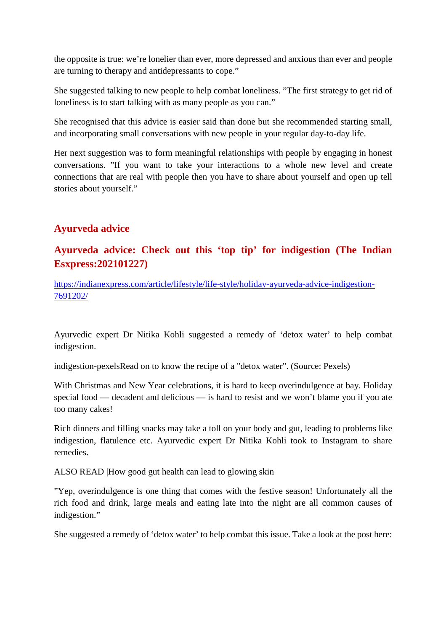the opposite is true: we're lonelier than ever, more depressed and anxious than ever and people are turning to therapy and antidepressants to cope."

She suggested talking to new people to help combat loneliness. "The first strategy to get rid of loneliness is to start talking with as many people as you can."

She recognised that this advice is easier said than done but she recommended starting small, and incorporating small conversations with new people in your regular day-to-day life.

Her next suggestion was to form meaningful relationships with people by engaging in honest conversations. "If you want to take your interactions to a whole new level and create connections that are real with people then you have to share about yourself and open up tell stories about yourself."

# **Ayurveda advice**

# **Ayurveda advice: Check out this 'top tip' for indigestion (The Indian Esxpress:202101227)**

https://indianexpress.com/article/lifestyle/life-style/holiday-ayurveda-advice-indigestion-7691202/

Ayurvedic expert Dr Nitika Kohli suggested a remedy of 'detox water' to help combat indigestion.

indigestion-pexelsRead on to know the recipe of a "detox water". (Source: Pexels)

With Christmas and New Year celebrations, it is hard to keep overindulgence at bay. Holiday special food — decadent and delicious — is hard to resist and we won't blame you if you ate too many cakes!

Rich dinners and filling snacks may take a toll on your body and gut, leading to problems like indigestion, flatulence etc. Ayurvedic expert Dr Nitika Kohli took to Instagram to share remedies.

ALSO READ |How good gut health can lead to glowing skin

"Yep, overindulgence is one thing that comes with the festive season! Unfortunately all the rich food and drink, large meals and eating late into the night are all common causes of indigestion."

She suggested a remedy of 'detox water' to help combat this issue. Take a look at the post here: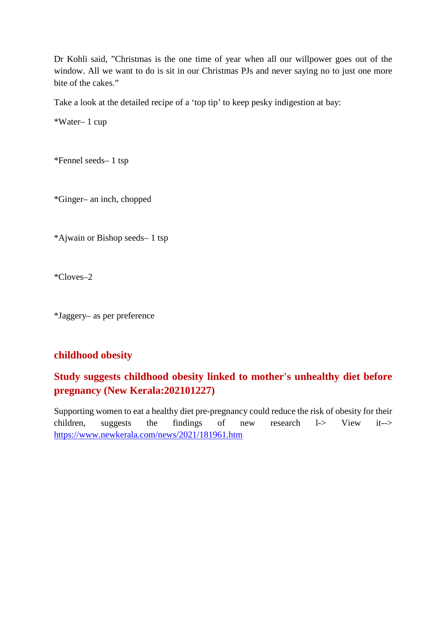Dr Kohli said, "Christmas is the one time of year when all our willpower goes out of the window. All we want to do is sit in our Christmas PJs and never saying no to just one more bite of the cakes."

Take a look at the detailed recipe of a 'top tip' to keep pesky indigestion at bay:

\*Water– 1 cup

\*Fennel seeds– 1 tsp

\*Ginger– an inch, chopped

\*Ajwain or Bishop seeds– 1 tsp

\*Cloves–2

\*Jaggery– as per preference

## **childhood obesity**

# **Study suggests childhood obesity linked to mother's unhealthy diet before pregnancy (New Kerala:202101227)**

Supporting women to eat a healthy diet pre-pregnancy could reduce the risk of obesity for their children, suggests the findings of new research l-> View it--> https://www.newkerala.com/news/2021/181961.htm